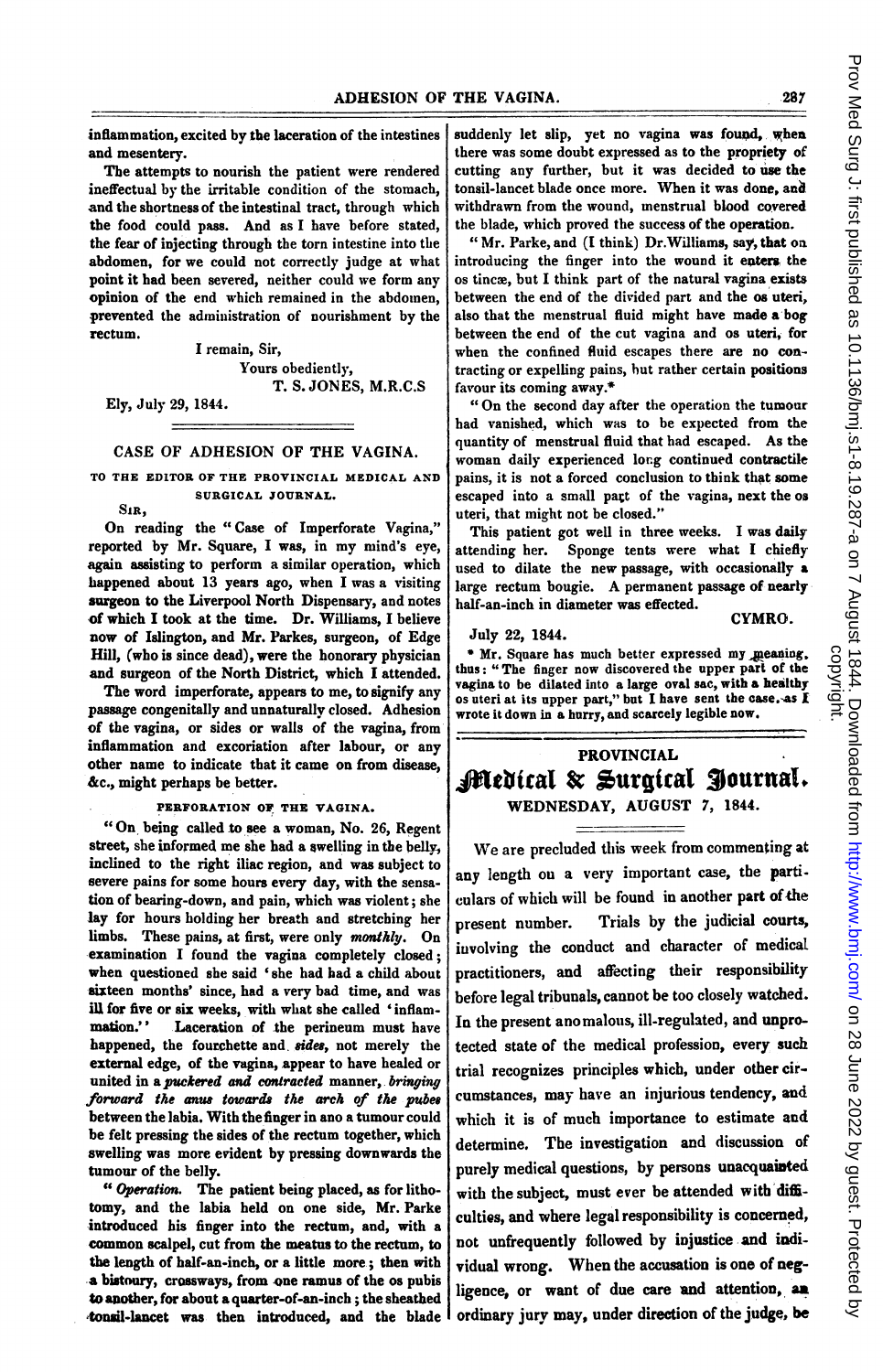inflammation, excited by the laceration of the intestines and mesentery.

The attempts to nourish the patient were rendered ineffectual by the irritable condition of the stomach, and the shortness of the intestinal tract, through which the food could pass. And as <sup>I</sup> have before stated, the fear of injecting through the torn intestine into the abdomen, for we could not correctly judge at what point it had been severed, neither could we form any opinion of the end which remained in the abdomen, prevented the administration of nourishment by the rectum.

I remain, Sir, Yours obediently, T. S. JONES, M.R.C.S

Ely, July 29, 1844.

## CASE OF ADHESION OF THE VAGINA.

TO THE EDITOR OF THE PROVINCIAL MEDICAL AND SURGICAL JOURNAL.

SIR,

On reading the "Case of Imperforate Vagina," reported by Mr. Square, <sup>I</sup> was, in my mind's eye, again assisting to perform a similar operation, which happened about 13 years ago, when <sup>I</sup> was a visiting surgeon to the Liverpool North Dispensary, and notes of which I took at the time. Dr. Williams, I believe now of Islington, and Mr. Parkes, surgeon, of Edge Hill, (who is since dead), were the honorary physician and surgeon of the North District, which I attended.

The word imperforate, appears to me, to signify any passage congenitally and unnaturally closed. Adhesion of the vagina, or sides or walls of the vagina, from inflammation and excoriation after labour, or any other name to indicate that it came on from disease, &c., might perhaps be better.

PERFORATION OF THE VAGINA.

"On being called to see <sup>a</sup> woman, No. 26, Regent street, she informed me she had a swelling in the bell inclined to the right iliac region, and was subject to severe pains for some hours every day, with the sensation of bearing-down, and pain, which was violent; she lay for hours holding her breath and stretcbing her limbs. These pains, at first, were only monthly. On examination I found the vagina completely closed; when questioned she said 'she had had a child about sixteen months' since, had a very bad time, and was ill for five or six weeks, with what she called 'inflam-<br>mation.' Laceration of the perineum must have Laceration of the perineum must have happened, the fourchette and, sides, not merely the external edge, of the vagina, appear to have healed or united in a puckered and contracted manner, bringing forward the anus towards the arch of the pubes between the labia. With thefinger in ano a tumour could be felt pressing the sides of the rectum together, which swelling was more evident by pressing downwards the tumour of the belly.

"Operation. The patient being placed, as for lithotomy, and the labia held on one side, Mr. Parke introduced his finger into the rectum, and, with a common scalpel, cut from the meatus to the rectum, to the length of half-an-inch, or a little more; then with a bistoury, crossways, from one ramnus of the os pubis to another, for about a quarter-of-an-inch ; the sheathed tonsil-lancet was then introdueed, and the blade suddenly let slip, yet no vagina was found, when there was some doubt expressed as to the propriety of cutting any further, but it was decided to use the tonsil-lancet blade once more. When it was done, and withdrawn from the wound, menstrual blood covered the blade, which proved the success of the operation.

" Mr. Parke, and (I think) Dr.Williams, say, that oa introducing the finger into the wound it eaters the os tincæ, but I think part of the natural vagina exists between the end of the divided part and the os uteri, also that the menstrual fluid might have made a bog between the end of the cut vagina and os uteri, for when the confined fluid escapes there are no contracting or expelling pains, but rather certain positions favour its coming away.\*

"On the second day after the operation the tumour bad vanished, which was to be expected from the quantity of menstrual fluid that had escaped. As the woman daily experienced long continued contractile pains, it is not a forced conclusion to think that some escaped into a small pagt of the vagina, next the os uteri, that might not be closed."

This patient got well in three weeks. <sup>I</sup> was daily attending her. Sponge tents were what <sup>I</sup> chiefly used to dilate the new passage, with occasionally a large rectum bougie. A permanent passage of nearly half-an-inch in diameter was effected.

CYMRO.

July 22, 1844.

\* Mr. Square has much better expressed my meaning, thus: " The finger now discovered the upper part of the vagina to be dilated into a large oval sac, with a healthy os uteri at its upper part," but I have sent the case.-as I wrote it down in a hurry, and scarcely legible now.

## PROVINCIAL Medical & Surgical Journal. WEDNESDAY, AUGUST 7, 1844.

We are precluded this week from commenting at any length ou a very important case, tbe particulars of which will be found in another part of the present number. Trials by the judicial courts, iuvolving the conduct and character of medical practitioners, and affecting their responsibility before legal tribunals, cannot be too closely watched. In the present anomalous, ill-regulated, and unprotected state of the medical profession, every such trial recognizes principles which, under other circumstances, may have an injurious tendency, and which it is of much importance to estimate and determine. The investigation and discussion of purely medical questions, by persons unacquainted with the subject, must ever be attended with difficultiss, and where legal responsibility is concerned, not unfrequently followed by injustice and individual wrong. When the accusation is one of negligence, or want of due care and attention, an ordinary jurv may, under direction of the judge, be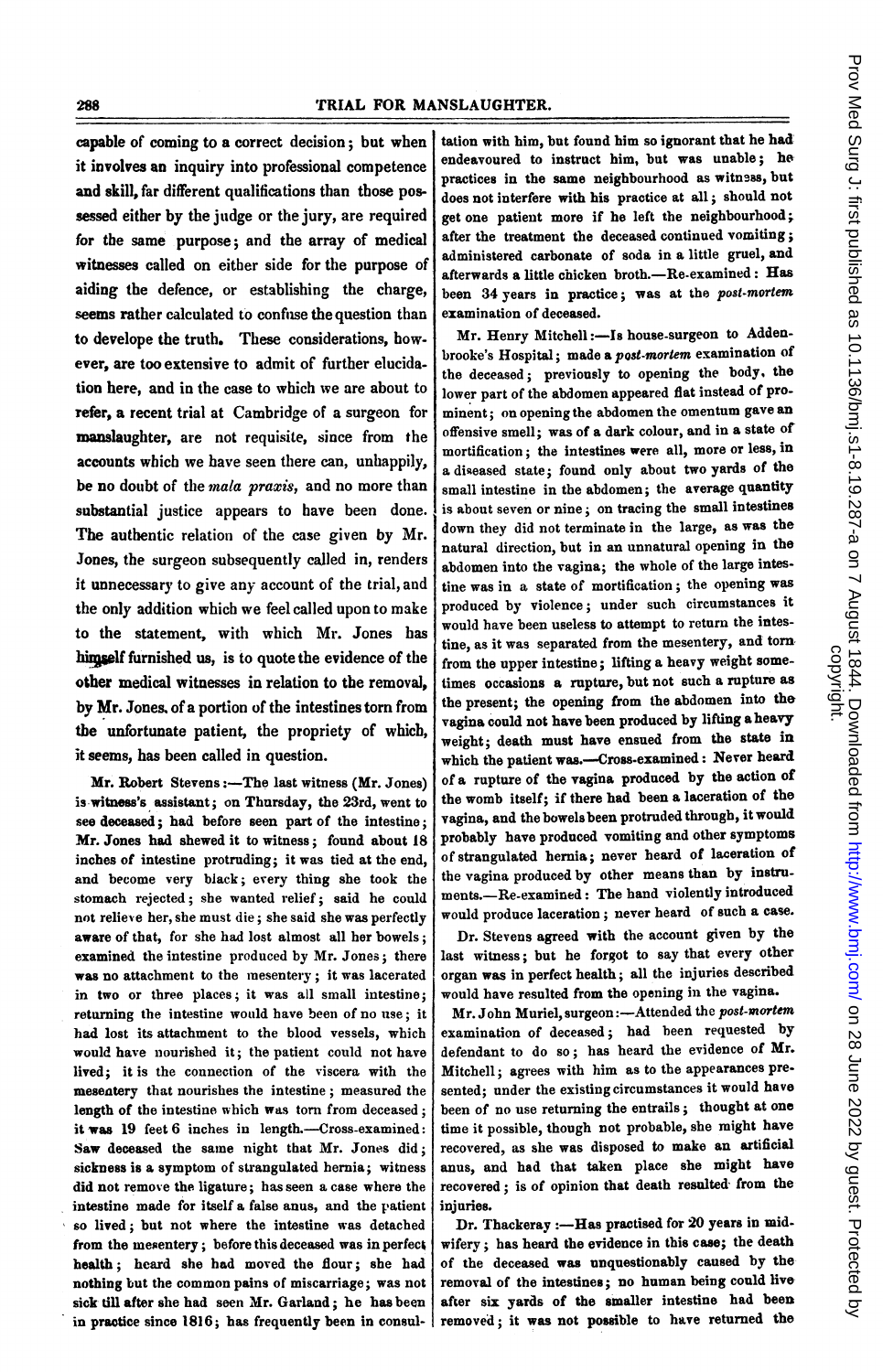capable of coming to a correct decision; but when it involves an inquiry into professional competence and skill, far different qualifications than those possessed either by the judge or the jury, are required for the same purpose; and the array of medical witnesses called on either side for the purpose of aiding the defence, or establishing the charge, seems rather calculated to confuse the question than to develope the truth. These considerations, how. ever, are too extensive to admit of further elucidation here, and in the case to which we are about to refer, a recent trial at Cambridge of a surgeon for manslaughter, are not requisite, since from the accounts which we have seen there can, unhappily, be no doubt of the mala praxis, and no more than substantial justice appears to have been done. The authentic relation of the case given by Mr. Jones, the surgeon subsequently called in, renders it unnecessary to give any account of the trial, and the only addition which we feel called upon to make to the statement, with which Mr. Jones has hingself furnished us, is to quote the evidence of the other medical witnesses in relation to the removal, by Mr. Jones. of a portion of the intestines torn from the unfortunate patient, the propriety of which, it seems, has been called in question.

Mr. Robert Stevens:-The last witness (Mr. Jones) is witnes's assistant; on Thursday, the 23rd, went to see deceased; had before seen part of the intestine; Mr. Jones had shewed it to witness; found about 18 inches of intestine protmding; it was tied at the end, and become very black; every thing she took the stomach rejected; she wanted relief; said he could not relieve her, sbe must die; she said she was perfectly aware of that, for she had lost almost all her bowels; examined the intestine produced by Mr. Jones; there was no attachment to the mesentery; it was lacerated in two or three places; it was all small intestine; returning the intestine would have been of no use; it had lost its attachment to the blood vessels, which would have nourished it; the patient could not have lived; it is the connection of the viscera with the mesentery that nourishes the intestine; measured the length of the intestine which was torn from deceased; it was 19 feet 6 inches in length.-Cross-examined: Saw deceased the same night that Mr. Jones did; sickness is a symptom of strangulated hernia; witness did not remove the ligature; has seen a case where the intestine made for itself a false anus, and the patient so lived; but not where the intestine was detached from the mesentery; before this deceased was in perfect health; heard she had moved the flour; she had nothing but the common pains of miscarriage; was not sick till after she had seen Mr. Garland; he has been in practice since 1816; has frequently been in consultation with him, but found him so ignorant that he had: endeavoured to instruct him, but was unable; he practices in the same neighbourhood as witness, but does not interfere with his practice at all; should not get one patient more if he left the neighbourhood;. after the treatment the deceased continued vomiting; administered carbonate of soda in a little gruel, and afterwards a little chicken broth. $-$ Re-examined: Has been 34 years in practice; was at the post-mortem examination of deceased.

Mr. Henry Mitchell:-Is house-surgeon to Addenbrooke's Hospital; made a post-mortem examination of the deceased; previously to opening the body, the lower part of the abdomen appeared flat instead of prominent; on opening the abdomen the omentum gave an offensive smell; was of a dark colour, and in a state of mortification; the intestines were all, more or less, in a diseased state; found only about two yards of the small intestine in the abdomen; the average quantity is about seven or nine; on tracing the small intestines down they did not terminate in the large, as was the natural direction, but in an unnatural opening in the abdomen into the vagina; the whole of the large intestine was in a state of mortification; the opening was produced by violence; under such circumstances it would have been useless to attempt to return the intestine, as it was separated from the mesentery, and torn from the upper intestine; lifting a heavy weight sometimes occasions a rupture, but not such a rupture as the present; the opening from the abdomen into the vagina could not have been produced by lifting aheavy weight; death must have ensued from the state in which the patient was.-Cross-examined: Never heard of a rupture of the vagina produced by the action of the womb itself; if there had been a laceration of the vagina, and the bowelsbeen protruded through, it would probably have produced vomiting and other symptoms of strangulated hernia; never heard of laceration of the vagina produced by other means than by instruments.-Re-examined: The hand violently introduced would produce laceration; never heard of such a case.

Dr. Stevens agreed with the account given by the last witness; but he forgot to say that every other organ was in perfect health; all the injuries described would have resulted from the opening in the vagina.

Mr. John Muriel, surgeon:-Attended the post-mortem examination of deceased; had been requested by defendant to do so; has heard the evidence of Mr. Mitchell; agrees with him as to the appearances presented; under the existing circumstances it would have been of no use returning the entrails; thought at one time it possible, though not probable, she might have recovered, as she was disposed to make an artificial anus, and had that taken place she might have recovered; is of opinion that death resulted' from the injuries.

Dr. Thackeray :- Has practised for 20 years in midwifery; has heard the evidence in this case; the death of the deceased was unquestionably caused by the removal of the intestines; no human being could liveafter six yards of the smaller intestine had been removed; it was not posible to have returned the